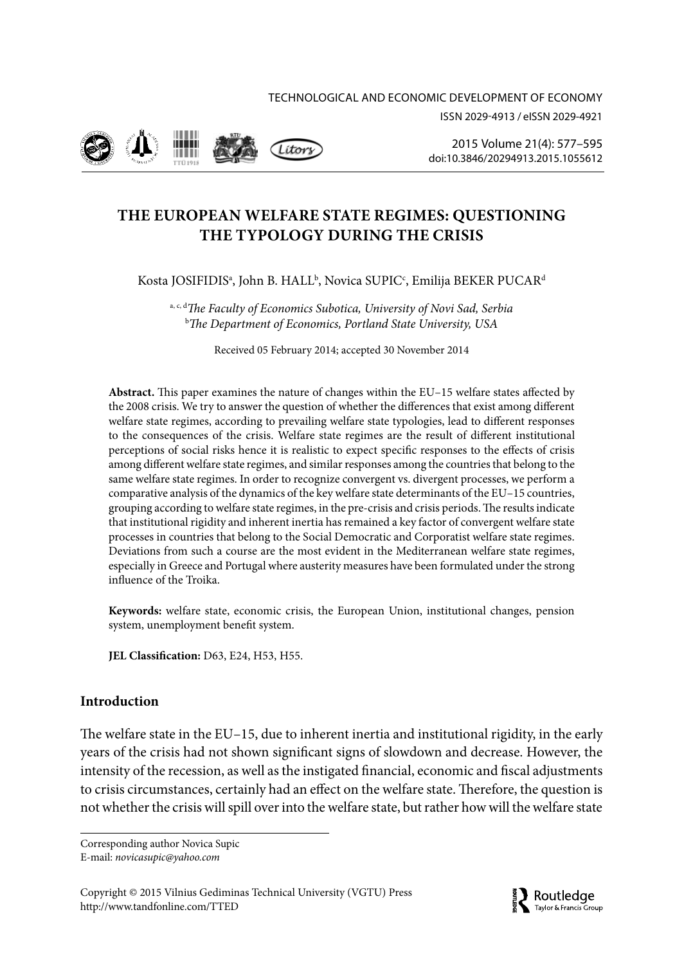



2015 Volume 21(4): 577–595 [doi:10.3846/20294913.2015.1055612](http://dx.doi.org/10.3846/20294913.2015.1055612)

# **THE EUROPEAN WELFARE STATE REGIMES: QUESTIONING THE TYPOLOGY DURING THE CRISIS**

Kosta JOSIFIDISª, John B. HALL<sup>ь</sup>, Novica SUPIC<sup>c</sup>, Emilija BEKER PUCAR<sup>a</sup>

a, c, d*The Faculty of Economics Subotica, University of Novi Sad, Serbia* b *The Department of Economics, Portland State University, USA*

Received 05 February 2014; accepted 30 November 2014

**Abstract.** This paper examines the nature of changes within the EU–15 welfare states affected by the 2008 crisis. We try to answer the question of whether the differences that exist among different welfare state regimes, according to prevailing welfare state typologies, lead to different responses to the consequences of the crisis. Welfare state regimes are the result of different institutional perceptions of social risks hence it is realistic to expect specific responses to the effects of crisis among different welfare state regimes, and similar responses among the countries that belong to the same welfare state regimes. In order to recognize convergent vs. divergent processes, we perform a comparative analysis of the dynamics of the key welfare state determinants of the EU–15 countries, grouping according to welfare state regimes, in the pre-crisis and crisis periods. The results indicate that institutional rigidity and inherent inertia has remained a key factor of convergent welfare state processes in countries that belong to the Social Democratic and Corporatist welfare state regimes. Deviations from such a course are the most evident in the Mediterranean welfare state regimes, especially in Greece and Portugal where austerity measures have been formulated under the strong influence of the Troika.

**Keywords:** welfare state, economic crisis, the European Union, institutional changes, pension system, unemployment benefit system.

**JEL Classification:** D63, E24, H53, H55.

## **Introduction**

The welfare state in the EU–15, due to inherent inertia and institutional rigidity, in the early years of the crisis had not shown significant signs of slowdown and decrease. However, the intensity of the recession, as well as the instigated financial, economic and fiscal adjustments to crisis circumstances, certainly had an effect on the welfare state. Therefore, the question is not whether the crisis will spill over into the welfare state, but rather how will the welfare state

Corresponding author Novica Supic E-mail: *[novicasupic@yahoo.com](mailto:novicasupic@yahoo.com)*

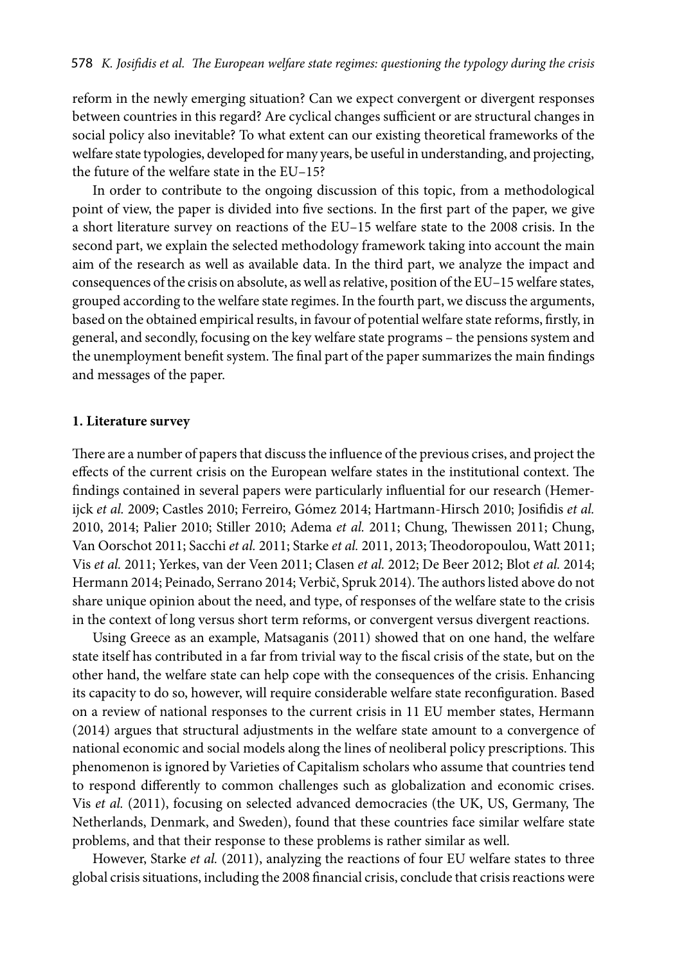reform in the newly emerging situation? Can we expect convergent or divergent responses between countries in this regard? Are cyclical changes sufficient or are structural changes in social policy also inevitable? To what extent can our existing theoretical frameworks of the welfare state typologies, developed for many years, be useful in understanding, and projecting, the future of the welfare state in the EU–15?

In order to contribute to the ongoing discussion of this topic, from a methodological point of view, the paper is divided into five sections. In the first part of the paper, we give a short literature survey on reactions of the EU–15 welfare state to the 2008 crisis. In the second part, we explain the selected methodology framework taking into account the main aim of the research as well as available data. In the third part, we analyze the impact and consequences of the crisis on absolute, as well as relative, position of the EU–15 welfare states, grouped according to the welfare state regimes. In the fourth part, we discuss the arguments, based on the obtained empirical results, in favour of potential welfare state reforms, firstly, in general, and secondly, focusing on the key welfare state programs – the pensions system and the unemployment benefit system. The final part of the paper summarizes the main findings and messages of the paper.

### **1. Literature survey**

There are a number of papers that discuss the influence of the previous crises, and project the effects of the current crisis on the European welfare states in the institutional context. The findings contained in several papers were particularly influential for our research (Hemerijck *et al.* 2009; Castles 2010; Ferreiro, Gómez 2014; Hartmann-Hirsch 2010; Josifidis *et al.*  2010, 2014; Palier 2010; Stiller 2010; Adema *et al.* 2011; Chung, Thewissen 2011; Chung, Van Oorschot 2011; Sacchi *et al.* 2011; Starke *et al.* 2011, 2013; Theodoropoulou, Watt 2011; Vis *et al.* 2011; Yerkes, van der Veen 2011; Clasen *et al.* 2012; De Beer 2012; Blot *et al.* 2014; Hermann 2014; Peinado, Serrano 2014; Verbič, Spruk 2014). The authors listed above do not share unique opinion about the need, and type, of responses of the welfare state to the crisis in the context of long versus short term reforms, or convergent versus divergent reactions.

Using Greece as an example, Matsaganis (2011) showed that on one hand, the welfare state itself has contributed in a far from trivial way to the fiscal crisis of the state, but on the other hand, the welfare state can help cope with the consequences of the crisis. Enhancing its capacity to do so, however, will require considerable welfare state reconfiguration. Based on a review of national responses to the current crisis in 11 EU member states, Hermann (2014) argues that structural adjustments in the welfare state amount to a convergence of national economic and social models along the lines of neoliberal policy prescriptions. This phenomenon is ignored by Varieties of Capitalism scholars who assume that countries tend to respond differently to common challenges such as globalization and economic crises. Vis *et al.* (2011), focusing on selected advanced democracies (the UK, US, Germany, The Netherlands, Denmark, and Sweden), found that these countries face similar welfare state problems, and that their response to these problems is rather similar as well.

However, Starke *et al.* (2011), analyzing the reactions of four EU welfare states to three global crisis situations, including the 2008 financial crisis, conclude that crisis reactions were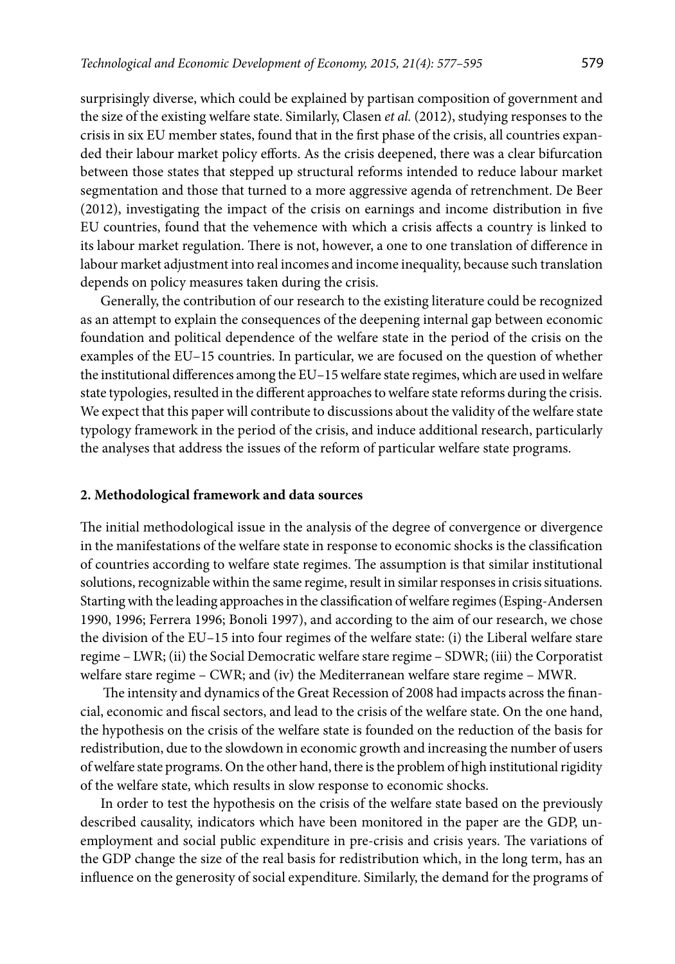surprisingly diverse, which could be explained by partisan composition of government and the size of the existing welfare state. Similarly, Clasen *et al.* (2012), studying responses to the crisis in six EU member states, found that in the first phase of the crisis, all countries expanded their labour market policy efforts. As the crisis deepened, there was a clear bifurcation between those states that stepped up structural reforms intended to reduce labour market segmentation and those that turned to a more aggressive agenda of retrenchment. De Beer (2012), investigating the impact of the crisis on earnings and income distribution in five EU countries, found that the vehemence with which a crisis affects a country is linked to its labour market regulation. There is not, however, a one to one translation of difference in labour market adjustment into real incomes and income inequality, because such translation depends on policy measures taken during the crisis.

Generally, the contribution of our research to the existing literature could be recognized as an attempt to explain the consequences of the deepening internal gap between economic foundation and political dependence of the welfare state in the period of the crisis on the examples of the EU–15 countries. In particular, we are focused on the question of whether the institutional differences among the EU–15 welfare state regimes, which are used in welfare state typologies, resulted in the different approaches to welfare state reforms during the crisis. We expect that this paper will contribute to discussions about the validity of the welfare state typology framework in the period of the crisis, and induce additional research, particularly the analyses that address the issues of the reform of particular welfare state programs.

### **2. Methodological framework and data sources**

The initial methodological issue in the analysis of the degree of convergence or divergence in the manifestations of the welfare state in response to economic shocks is the classification of countries according to welfare state regimes. The assumption is that similar institutional solutions, recognizable within the same regime, result in similar responses in crisis situations. Starting with the leading approaches in the classification of welfare regimes (Esping-Andersen 1990, 1996; Ferrera 1996; Bonoli 1997), and according to the aim of our research, we chose the division of the EU–15 into four regimes of the welfare state: (i) the Liberal welfare stare regime – LWR; (ii) the Social Democratic welfare stare regime – SDWR; (iii) the Corporatist welfare stare regime – CWR; and (iv) the Mediterranean welfare stare regime – MWR.

 The intensity and dynamics of the Great Recession of 2008 had impacts across the financial, economic and fiscal sectors, and lead to the crisis of the welfare state. On the one hand, the hypothesis on the crisis of the welfare state is founded on the reduction of the basis for redistribution, due to the slowdown in economic growth and increasing the number of users of welfare state programs. On the other hand, there is the problem of high institutional rigidity of the welfare state, which results in slow response to economic shocks.

In order to test the hypothesis on the crisis of the welfare state based on the previously described causality, indicators which have been monitored in the paper are the GDP, unemployment and social public expenditure in pre-crisis and crisis years. The variations of the GDP change the size of the real basis for redistribution which, in the long term, has an influence on the generosity of social expenditure. Similarly, the demand for the programs of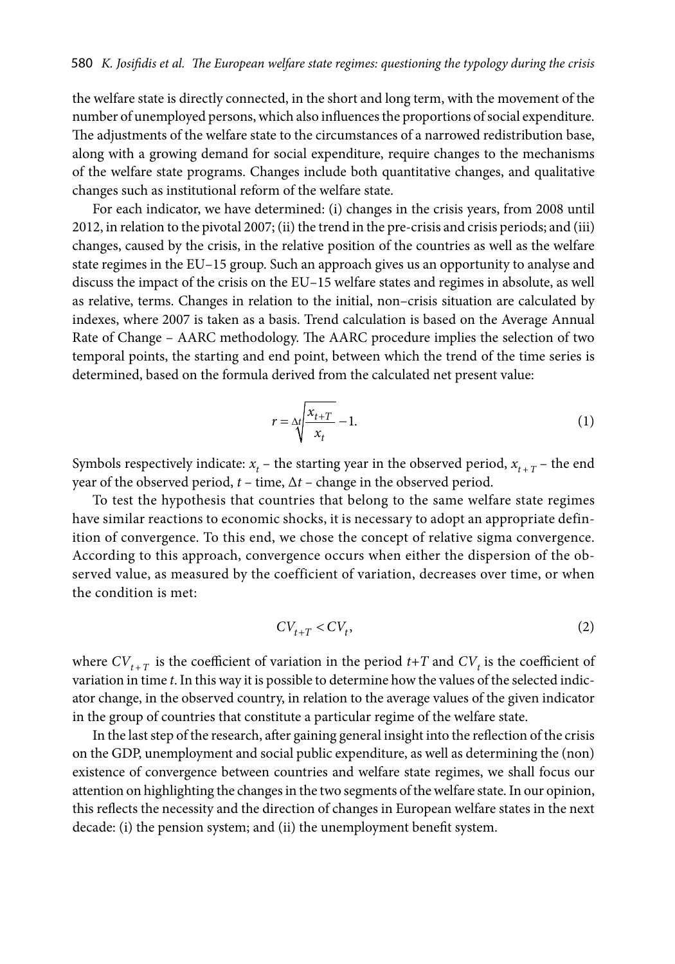the welfare state is directly connected, in the short and long term, with the movement of the number of unemployed persons, which also influences the proportions of social expenditure. The adjustments of the welfare state to the circumstances of a narrowed redistribution base, along with a growing demand for social expenditure, require changes to the mechanisms of the welfare state programs. Changes include both quantitative changes, and qualitative changes such as institutional reform of the welfare state.

For each indicator, we have determined: (i) changes in the crisis years, from 2008 until 2012, in relation to the pivotal 2007; (ii) the trend in the pre-crisis and crisis periods; and (iii) changes, caused by the crisis, in the relative position of the countries as well as the welfare state regimes in the EU–15 group. Such an approach gives us an opportunity to analyse and discuss the impact of the crisis on the EU–15 welfare states and regimes in absolute, as well as relative, terms. Changes in relation to the initial, non–crisis situation are calculated by indexes, where 2007 is taken as a basis. Trend calculation is based on the Average Annual Rate of Change – AARC methodology. The AARC procedure implies the selection of two temporal points, the starting and end point, between which the trend of the time series is determined, based on the formula derived from the calculated net present value:

$$
r = \Delta t \sqrt{\frac{x_{t+T}}{x_t}} - 1.
$$
\n<sup>(1)</sup>

Symbols respectively indicate:  $x_t$  – the starting year in the observed period,  $x_{t+T}$  – the end year of the observed period,  $t$  – time,  $\Delta t$  – change in the observed period.

To test the hypothesis that countries that belong to the same welfare state regimes have similar reactions to economic shocks, it is necessary to adopt an appropriate definition of convergence. To this end, we chose the concept of relative sigma convergence. According to this approach, convergence occurs when either the dispersion of the observed value, as measured by the coefficient of variation, decreases over time, or when the condition is met:

$$
CV_{t+T} < CV_t,
$$
 (2)

where  $CV_{t+T}$  is the coefficient of variation in the period  $t+T$  and  $CV_t$  is the coefficient of variation in time *t*. In this way it is possible to determine how the values of the selected indicator change, in the observed country, in relation to the average values of the given indicator in the group of countries that constitute a particular regime of the welfare state.

In the last step of the research, after gaining general insight into the reflection of the crisis on the GDP, unemployment and social public expenditure, as well as determining the (non) existence of convergence between countries and welfare state regimes, we shall focus our attention on highlighting the changes in the two segments of the welfare state. In our opinion, this reflects the necessity and the direction of changes in European welfare states in the next decade: (i) the pension system; and (ii) the unemployment benefit system.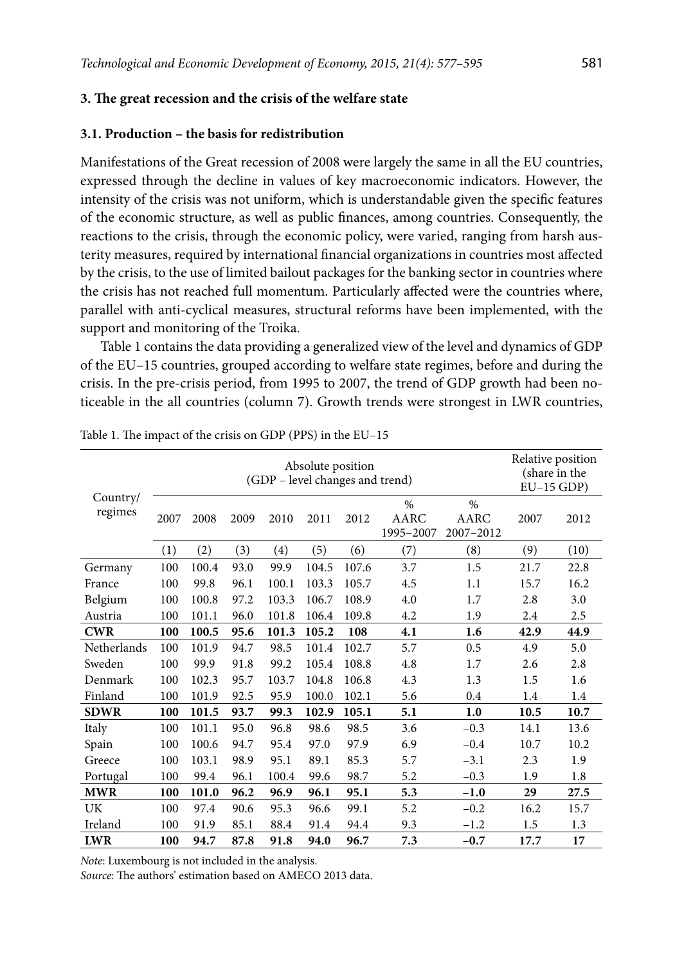### **3. The great recession and the crisis of the welfare state**

### **3.1. Production – the basis for redistribution**

Manifestations of the Great recession of 2008 were largely the same in all the EU countries, expressed through the decline in values of key macroeconomic indicators. However, the intensity of the crisis was not uniform, which is understandable given the specific features of the economic structure, as well as public finances, among countries. Consequently, the reactions to the crisis, through the economic policy, were varied, ranging from harsh austerity measures, required by international financial organizations in countries most affected by the crisis, to the use of limited bailout packages for the banking sector in countries where the crisis has not reached full momentum. Particularly affected were the countries where, parallel with anti-cyclical measures, structural reforms have been implemented, with the support and monitoring of the Troika.

Table 1 contains the data providing a generalized view of the level and dynamics of GDP of the EU–15 countries, grouped according to welfare state regimes, before and during the crisis. In the pre-crisis period, from 1995 to 2007, the trend of GDP growth had been noticeable in the all countries (column 7). Growth trends were strongest in LWR countries,

|                     |      | Relative position<br>(share in the<br>$EU-15$ GDP) |      |       |       |       |                           |                           |      |      |
|---------------------|------|----------------------------------------------------|------|-------|-------|-------|---------------------------|---------------------------|------|------|
| Country/<br>regimes | 2007 | 2008                                               | 2009 | 2010  | 2011  | 2012  | $\%$<br>AARC<br>1995-2007 | $\%$<br>AARC<br>2007-2012 | 2007 | 2012 |
|                     | (1)  | (2)                                                | (3)  | (4)   | (5)   | (6)   | (7)                       | (8)                       | (9)  | (10) |
| Germany             | 100  | 100.4                                              | 93.0 | 99.9  | 104.5 | 107.6 | 3.7                       | 1.5                       | 21.7 | 22.8 |
| France              | 100  | 99.8                                               | 96.1 | 100.1 | 103.3 | 105.7 | 4.5                       | 1.1                       | 15.7 | 16.2 |
| Belgium             | 100  | 100.8                                              | 97.2 | 103.3 | 106.7 | 108.9 | 4.0                       | 1.7                       | 2.8  | 3.0  |
| Austria             | 100  | 101.1                                              | 96.0 | 101.8 | 106.4 | 109.8 | 4.2                       | 1.9                       | 2.4  | 2.5  |
| <b>CWR</b>          | 100  | 100.5                                              | 95.6 | 101.3 | 105.2 | 108   | 4.1                       | 1.6                       | 42.9 | 44.9 |
| Netherlands         | 100  | 101.9                                              | 94.7 | 98.5  | 101.4 | 102.7 | 5.7                       | 0.5                       | 4.9  | 5.0  |
| Sweden              | 100  | 99.9                                               | 91.8 | 99.2  | 105.4 | 108.8 | 4.8                       | 1.7                       | 2.6  | 2.8  |
| Denmark             | 100  | 102.3                                              | 95.7 | 103.7 | 104.8 | 106.8 | 4.3                       | 1.3                       | 1.5  | 1.6  |
| Finland             | 100  | 101.9                                              | 92.5 | 95.9  | 100.0 | 102.1 | 5.6                       | 0.4                       | 1.4  | 1.4  |
| <b>SDWR</b>         | 100  | 101.5                                              | 93.7 | 99.3  | 102.9 | 105.1 | 5.1                       | 1.0                       | 10.5 | 10.7 |
| Italy               | 100  | 101.1                                              | 95.0 | 96.8  | 98.6  | 98.5  | 3.6                       | $-0.3$                    | 14.1 | 13.6 |
| Spain               | 100  | 100.6                                              | 94.7 | 95.4  | 97.0  | 97.9  | 6.9                       | $-0.4$                    | 10.7 | 10.2 |
| Greece              | 100  | 103.1                                              | 98.9 | 95.1  | 89.1  | 85.3  | 5.7                       | $-3.1$                    | 2.3  | 1.9  |
| Portugal            | 100  | 99.4                                               | 96.1 | 100.4 | 99.6  | 98.7  | 5.2                       | $-0.3$                    | 1.9  | 1.8  |
| <b>MWR</b>          | 100  | 101.0                                              | 96.2 | 96.9  | 96.1  | 95.1  | 5.3                       | $-1.0$                    | 29   | 27.5 |
| UK                  | 100  | 97.4                                               | 90.6 | 95.3  | 96.6  | 99.1  | 5.2                       | $-0.2$                    | 16.2 | 15.7 |
| Ireland             | 100  | 91.9                                               | 85.1 | 88.4  | 91.4  | 94.4  | 9.3                       | $-1.2$                    | 1.5  | 1.3  |
| <b>LWR</b>          | 100  | 94.7                                               | 87.8 | 91.8  | 94.0  | 96.7  | 7.3                       | $-0.7$                    | 17.7 | 17   |

Table 1. The impact of the crisis on GDP (PPS) in the EU–15

*Note*: Luxembourg is not included in the analysis.

*Source*: The authors' estimation based on AMECO 2013 data.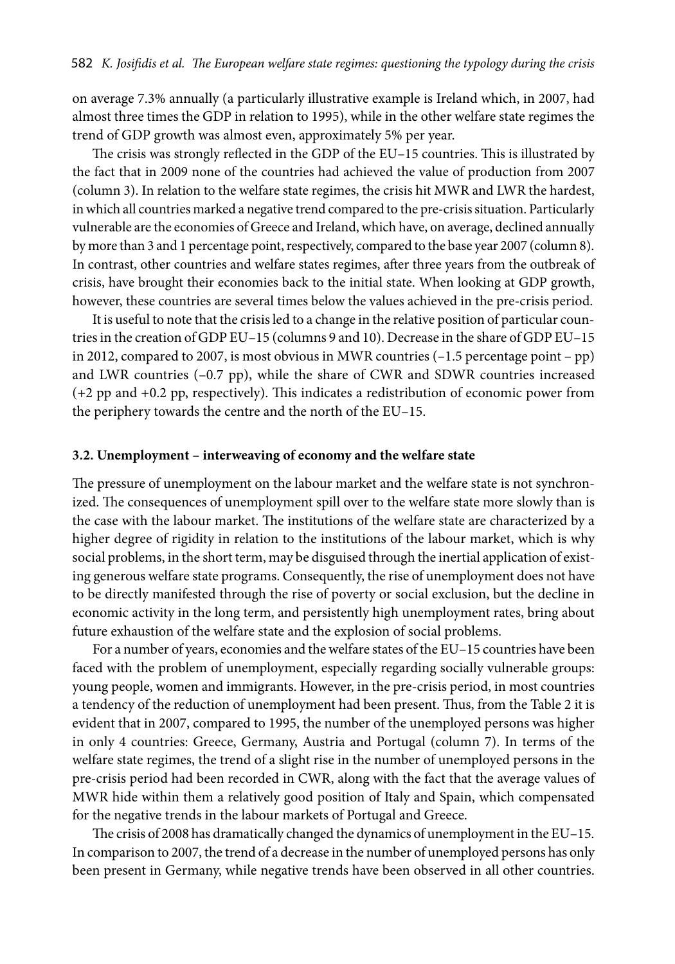on average 7.3% annually (a particularly illustrative example is Ireland which, in 2007, had almost three times the GDP in relation to 1995), while in the other welfare state regimes the trend of GDP growth was almost even, approximately 5% per year.

The crisis was strongly reflected in the GDP of the EU–15 countries. This is illustrated by the fact that in 2009 none of the countries had achieved the value of production from 2007 (column 3). In relation to the welfare state regimes, the crisis hit MWR and LWR the hardest, in which all countries marked a negative trend compared to the pre-crisis situation. Particularly vulnerable are the economies of Greece and Ireland, which have, on average, declined annually by more than 3 and 1 percentage point, respectively, compared to the base year 2007 (column 8). In contrast, other countries and welfare states regimes, after three years from the outbreak of crisis, have brought their economies back to the initial state. When looking at GDP growth, however, these countries are several times below the values achieved in the pre-crisis period.

It is useful to note that the crisis led to a change in the relative position of particular countries in the creation of GDP EU–15 (columns 9 and 10). Decrease in the share of GDP EU–15 in 2012, compared to 2007, is most obvious in MWR countries (–1.5 percentage point – pp) and LWR countries  $(-0.7 \text{ pp})$ , while the share of CWR and SDWR countries increased (+2 pp and +0.2 pp, respectively). This indicates a redistribution of economic power from the periphery towards the centre and the north of the EU–15.

### **3.2. Unemployment – interweaving of economy and the welfare state**

The pressure of unemployment on the labour market and the welfare state is not synchronized. The consequences of unemployment spill over to the welfare state more slowly than is the case with the labour market. The institutions of the welfare state are characterized by a higher degree of rigidity in relation to the institutions of the labour market, which is why social problems, in the short term, may be disguised through the inertial application of existing generous welfare state programs. Consequently, the rise of unemployment does not have to be directly manifested through the rise of poverty or social exclusion, but the decline in economic activity in the long term, and persistently high unemployment rates, bring about future exhaustion of the welfare state and the explosion of social problems.

For a number of years, economies and the welfare states of the EU–15 countries have been faced with the problem of unemployment, especially regarding socially vulnerable groups: young people, women and immigrants. However, in the pre-crisis period, in most countries a tendency of the reduction of unemployment had been present. Thus, from the Table 2 it is evident that in 2007, compared to 1995, the number of the unemployed persons was higher in only 4 countries: Greece, Germany, Austria and Portugal (column 7). In terms of the welfare state regimes, the trend of a slight rise in the number of unemployed persons in the pre-crisis period had been recorded in CWR, along with the fact that the average values of MWR hide within them a relatively good position of Italy and Spain, which compensated for the negative trends in the labour markets of Portugal and Greece.

The crisis of 2008 has dramatically changed the dynamics of unemployment in the EU–15. In comparison to 2007, the trend of a decrease in the number of unemployed persons has only been present in Germany, while negative trends have been observed in all other countries.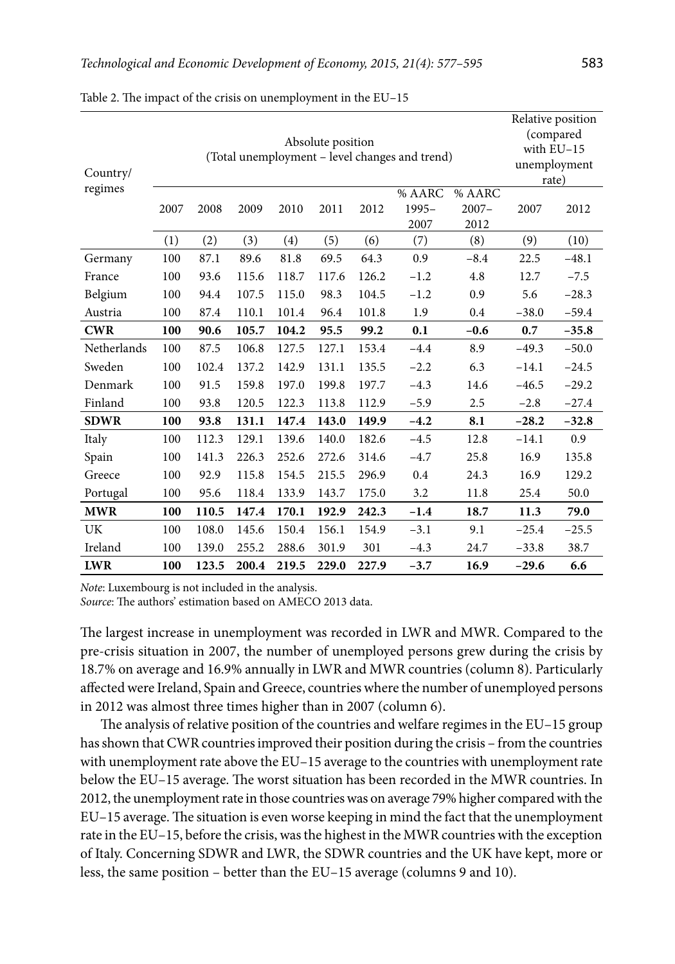| Country/    | Absolute position<br>(Total unemployment – level changes and trend) |       |       |       |       |       |                         |                            |         | Relative position<br>(compared<br>with $EU-15$<br>unemployment<br>rate) |  |
|-------------|---------------------------------------------------------------------|-------|-------|-------|-------|-------|-------------------------|----------------------------|---------|-------------------------------------------------------------------------|--|
| regimes     | 2007                                                                | 2008  | 2009  | 2010  | 2011  | 2012  | % AARC<br>1995-<br>2007 | % AARC<br>$2007 -$<br>2012 | 2007    | 2012                                                                    |  |
|             | (1)                                                                 | (2)   | (3)   | (4)   | (5)   | (6)   | (7)                     | (8)                        | (9)     | (10)                                                                    |  |
| Germany     | 100                                                                 | 87.1  | 89.6  | 81.8  | 69.5  | 64.3  | 0.9                     | $-8.4$                     | 22.5    | $-48.1$                                                                 |  |
| France      | 100                                                                 | 93.6  | 115.6 | 118.7 | 117.6 | 126.2 | $-1.2$                  | 4.8                        | 12.7    | $-7.5$                                                                  |  |
| Belgium     | 100                                                                 | 94.4  | 107.5 | 115.0 | 98.3  | 104.5 | $-1.2$                  | 0.9                        | 5.6     | $-28.3$                                                                 |  |
| Austria     | 100                                                                 | 87.4  | 110.1 | 101.4 | 96.4  | 101.8 | 1.9                     | 0.4                        | $-38.0$ | $-59.4$                                                                 |  |
| <b>CWR</b>  | 100                                                                 | 90.6  | 105.7 | 104.2 | 95.5  | 99.2  | 0.1                     | $-0.6$                     | 0.7     | $-35.8$                                                                 |  |
| Netherlands | 100                                                                 | 87.5  | 106.8 | 127.5 | 127.1 | 153.4 | $-4.4$                  | 8.9                        | $-49.3$ | $-50.0$                                                                 |  |
| Sweden      | 100                                                                 | 102.4 | 137.2 | 142.9 | 131.1 | 135.5 | $-2.2$                  | 6.3                        | $-14.1$ | $-24.5$                                                                 |  |
| Denmark     | 100                                                                 | 91.5  | 159.8 | 197.0 | 199.8 | 197.7 | $-4.3$                  | 14.6                       | $-46.5$ | $-29.2$                                                                 |  |
| Finland     | 100                                                                 | 93.8  | 120.5 | 122.3 | 113.8 | 112.9 | $-5.9$                  | 2.5                        | $-2.8$  | $-27.4$                                                                 |  |
| <b>SDWR</b> | 100                                                                 | 93.8  | 131.1 | 147.4 | 143.0 | 149.9 | $-4.2$                  | 8.1                        | $-28.2$ | $-32.8$                                                                 |  |
| Italy       | 100                                                                 | 112.3 | 129.1 | 139.6 | 140.0 | 182.6 | $-4.5$                  | 12.8                       | $-14.1$ | 0.9                                                                     |  |
| Spain       | 100                                                                 | 141.3 | 226.3 | 252.6 | 272.6 | 314.6 | $-4.7$                  | 25.8                       | 16.9    | 135.8                                                                   |  |
| Greece      | 100                                                                 | 92.9  | 115.8 | 154.5 | 215.5 | 296.9 | 0.4                     | 24.3                       | 16.9    | 129.2                                                                   |  |
| Portugal    | 100                                                                 | 95.6  | 118.4 | 133.9 | 143.7 | 175.0 | 3.2                     | 11.8                       | 25.4    | 50.0                                                                    |  |
| <b>MWR</b>  | 100                                                                 | 110.5 | 147.4 | 170.1 | 192.9 | 242.3 | $-1.4$                  | 18.7                       | 11.3    | 79.0                                                                    |  |
| UK          | 100                                                                 | 108.0 | 145.6 | 150.4 | 156.1 | 154.9 | $-3.1$                  | 9.1                        | $-25.4$ | $-25.5$                                                                 |  |
| Ireland     | 100                                                                 | 139.0 | 255.2 | 288.6 | 301.9 | 301   | $-4.3$                  | 24.7                       | $-33.8$ | 38.7                                                                    |  |
| <b>LWR</b>  | 100                                                                 | 123.5 | 200.4 | 219.5 | 229.0 | 227.9 | $-3.7$                  | 16.9                       | $-29.6$ | 6.6                                                                     |  |

Table 2. The impact of the crisis on unemployment in the EU–15

*Note*: Luxembourg is not included in the analysis.

*Source*: The authors' estimation based on AMECO 2013 data.

The largest increase in unemployment was recorded in LWR and MWR. Compared to the pre-crisis situation in 2007, the number of unemployed persons grew during the crisis by 18.7% on average and 16.9% annually in LWR and MWR countries (column 8). Particularly affected were Ireland, Spain and Greece, countries where the number of unemployed persons in 2012 was almost three times higher than in 2007 (column 6).

The analysis of relative position of the countries and welfare regimes in the EU–15 group has shown that CWR countries improved their position during the crisis – from the countries with unemployment rate above the EU–15 average to the countries with unemployment rate below the EU–15 average. The worst situation has been recorded in the MWR countries. In 2012, the unemployment rate in those countries was on average 79% higher compared with the EU–15 average. The situation is even worse keeping in mind the fact that the unemployment rate in the EU–15, before the crisis, was the highest in the MWR countries with the exception of Italy. Concerning SDWR and LWR, the SDWR countries and the UK have kept, more or less, the same position – better than the EU–15 average (columns 9 and 10).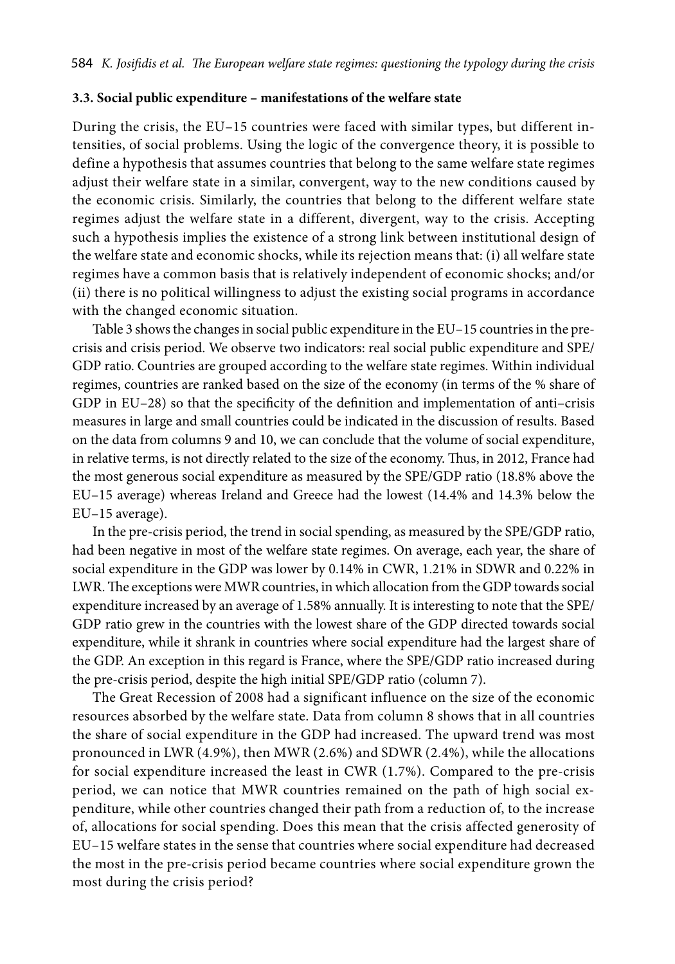### **3.3. Social public expenditure – manifestations of the welfare state**

During the crisis, the EU–15 countries were faced with similar types, but different intensities, of social problems. Using the logic of the convergence theory, it is possible to define a hypothesis that assumes countries that belong to the same welfare state regimes adjust their welfare state in a similar, convergent, way to the new conditions caused by the economic crisis. Similarly, the countries that belong to the different welfare state regimes adjust the welfare state in a different, divergent, way to the crisis. Accepting such a hypothesis implies the existence of a strong link between institutional design of the welfare state and economic shocks, while its rejection means that: (i) all welfare state regimes have a common basis that is relatively independent of economic shocks; and/or (ii) there is no political willingness to adjust the existing social programs in accordance with the changed economic situation.

Table 3 shows the changes in social public expenditure in the EU–15 countries in the precrisis and crisis period. We observe two indicators: real social public expenditure and SPE/ GDP ratio. Countries are grouped according to the welfare state regimes. Within individual regimes, countries are ranked based on the size of the economy (in terms of the % share of GDP in EU–28) so that the specificity of the definition and implementation of anti–crisis measures in large and small countries could be indicated in the discussion of results. Based on the data from columns 9 and 10, we can conclude that the volume of social expenditure, in relative terms, is not directly related to the size of the economy. Thus, in 2012, France had the most generous social expenditure as measured by the SPE/GDP ratio (18.8% above the EU–15 average) whereas Ireland and Greece had the lowest (14.4% and 14.3% below the EU–15 average).

In the pre-crisis period, the trend in social spending, as measured by the SPE/GDP ratio, had been negative in most of the welfare state regimes. On average, each year, the share of social expenditure in the GDP was lower by 0.14% in CWR, 1.21% in SDWR and 0.22% in LWR. The exceptions were MWR countries, in which allocation from the GDP towards social expenditure increased by an average of 1.58% annually. It is interesting to note that the SPE/ GDP ratio grew in the countries with the lowest share of the GDP directed towards social expenditure, while it shrank in countries where social expenditure had the largest share of the GDP. An exception in this regard is France, where the SPE/GDP ratio increased during the pre-crisis period, despite the high initial SPE/GDP ratio (column 7).

The Great Recession of 2008 had a significant influence on the size of the economic resources absorbed by the welfare state. Data from column 8 shows that in all countries the share of social expenditure in the GDP had increased. The upward trend was most pronounced in LWR (4.9%), then MWR (2.6%) and SDWR (2.4%), while the allocations for social expenditure increased the least in CWR (1.7%). Compared to the pre-crisis period, we can notice that MWR countries remained on the path of high social expenditure, while other countries changed their path from a reduction of, to the increase of, allocations for social spending. Does this mean that the crisis affected generosity of EU–15 welfare states in the sense that countries where social expenditure had decreased the most in the pre-crisis period became countries where social expenditure grown the most during the crisis period?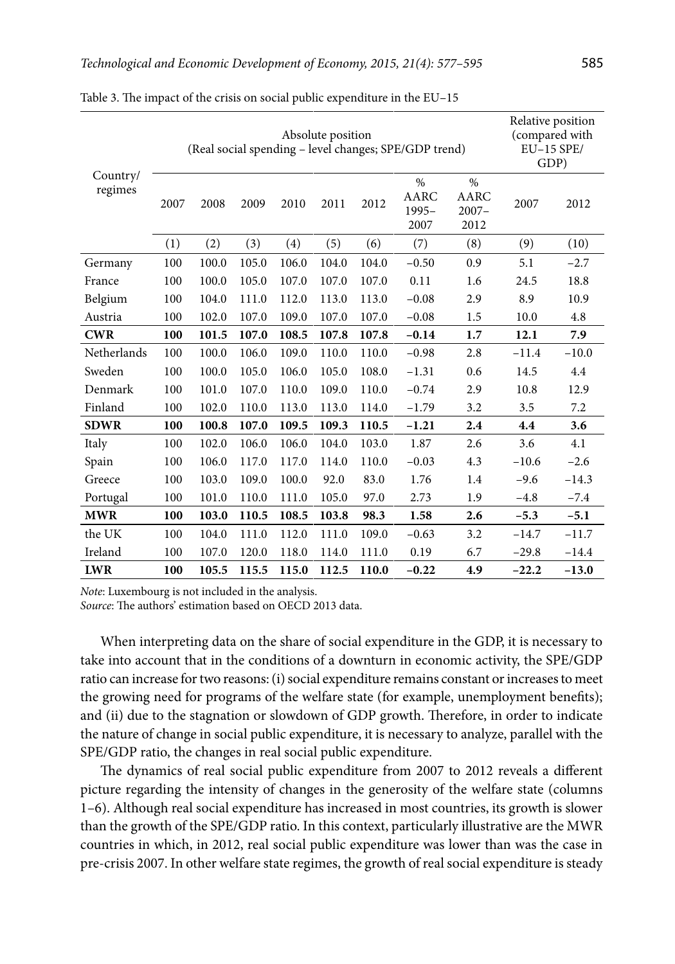|                     | (Real social spending - level changes; SPE/GDP trend) | Relative position<br>(compared with<br>$EU-15$ SPE/<br>GDP) |       |       |       |       |                                  |                                  |         |         |
|---------------------|-------------------------------------------------------|-------------------------------------------------------------|-------|-------|-------|-------|----------------------------------|----------------------------------|---------|---------|
| Country/<br>regimes | 2007                                                  | 2008                                                        | 2009  | 2010  | 2011  | 2012  | $\%$<br>AARC<br>$1995 -$<br>2007 | $\%$<br>AARC<br>$2007 -$<br>2012 | 2007    | 2012    |
|                     | (1)                                                   | (2)                                                         | (3)   | (4)   | (5)   | (6)   | (7)                              | (8)                              | (9)     | (10)    |
| Germany             | 100                                                   | 100.0                                                       | 105.0 | 106.0 | 104.0 | 104.0 | $-0.50$                          | 0.9                              | 5.1     | $-2.7$  |
| France              | 100                                                   | 100.0                                                       | 105.0 | 107.0 | 107.0 | 107.0 | 0.11                             | 1.6                              | 24.5    | 18.8    |
| Belgium             | 100                                                   | 104.0                                                       | 111.0 | 112.0 | 113.0 | 113.0 | $-0.08$                          | 2.9                              | 8.9     | 10.9    |
| Austria             | 100                                                   | 102.0                                                       | 107.0 | 109.0 | 107.0 | 107.0 | $-0.08$                          | 1.5                              | 10.0    | 4.8     |
| <b>CWR</b>          | 100                                                   | 101.5                                                       | 107.0 | 108.5 | 107.8 | 107.8 | $-0.14$                          | 1.7                              | 12.1    | 7.9     |
| Netherlands         | 100                                                   | 100.0                                                       | 106.0 | 109.0 | 110.0 | 110.0 | $-0.98$                          | 2.8                              | $-11.4$ | $-10.0$ |
| Sweden              | 100                                                   | 100.0                                                       | 105.0 | 106.0 | 105.0 | 108.0 | $-1.31$                          | 0.6                              | 14.5    | 4.4     |
| Denmark             | 100                                                   | 101.0                                                       | 107.0 | 110.0 | 109.0 | 110.0 | $-0.74$                          | 2.9                              | 10.8    | 12.9    |
| Finland             | 100                                                   | 102.0                                                       | 110.0 | 113.0 | 113.0 | 114.0 | $-1.79$                          | 3.2                              | 3.5     | 7.2     |
| <b>SDWR</b>         | 100                                                   | 100.8                                                       | 107.0 | 109.5 | 109.3 | 110.5 | $-1.21$                          | 2.4                              | 4.4     | 3.6     |
| Italy               | 100                                                   | 102.0                                                       | 106.0 | 106.0 | 104.0 | 103.0 | 1.87                             | 2.6                              | 3.6     | 4.1     |
| Spain               | 100                                                   | 106.0                                                       | 117.0 | 117.0 | 114.0 | 110.0 | $-0.03$                          | 4.3                              | $-10.6$ | $-2.6$  |
| Greece              | 100                                                   | 103.0                                                       | 109.0 | 100.0 | 92.0  | 83.0  | 1.76                             | 1.4                              | $-9.6$  | $-14.3$ |
| Portugal            | 100                                                   | 101.0                                                       | 110.0 | 111.0 | 105.0 | 97.0  | 2.73                             | 1.9                              | $-4.8$  | $-7.4$  |
| <b>MWR</b>          | 100                                                   | 103.0                                                       | 110.5 | 108.5 | 103.8 | 98.3  | 1.58                             | 2.6                              | $-5.3$  | $-5.1$  |
| the UK              | 100                                                   | 104.0                                                       | 111.0 | 112.0 | 111.0 | 109.0 | $-0.63$                          | 3.2                              | $-14.7$ | $-11.7$ |
| Ireland             | 100                                                   | 107.0                                                       | 120.0 | 118.0 | 114.0 | 111.0 | 0.19                             | 6.7                              | $-29.8$ | $-14.4$ |
| <b>LWR</b>          | 100                                                   | 105.5                                                       | 115.5 | 115.0 | 112.5 | 110.0 | $-0.22$                          | 4.9                              | $-22.2$ | $-13.0$ |

Table 3. The impact of the crisis on social public expenditure in the EU–15

*Note*: Luxembourg is not included in the analysis.

*Source*: The authors' estimation based on OECD 2013 data.

When interpreting data on the share of social expenditure in the GDP, it is necessary to take into account that in the conditions of a downturn in economic activity, the SPE/GDP ratio can increase for two reasons: (i) social expenditure remains constant or increases to meet the growing need for programs of the welfare state (for example, unemployment benefits); and (ii) due to the stagnation or slowdown of GDP growth. Therefore, in order to indicate the nature of change in social public expenditure, it is necessary to analyze, parallel with the SPE/GDP ratio, the changes in real social public expenditure.

The dynamics of real social public expenditure from 2007 to 2012 reveals a different picture regarding the intensity of changes in the generosity of the welfare state (columns 1–6). Although real social expenditure has increased in most countries, its growth is slower than the growth of the SPE/GDP ratio. In this context, particularly illustrative are the MWR countries in which, in 2012, real social public expenditure was lower than was the case in pre-crisis 2007. In other welfare state regimes, the growth of real social expenditure is steady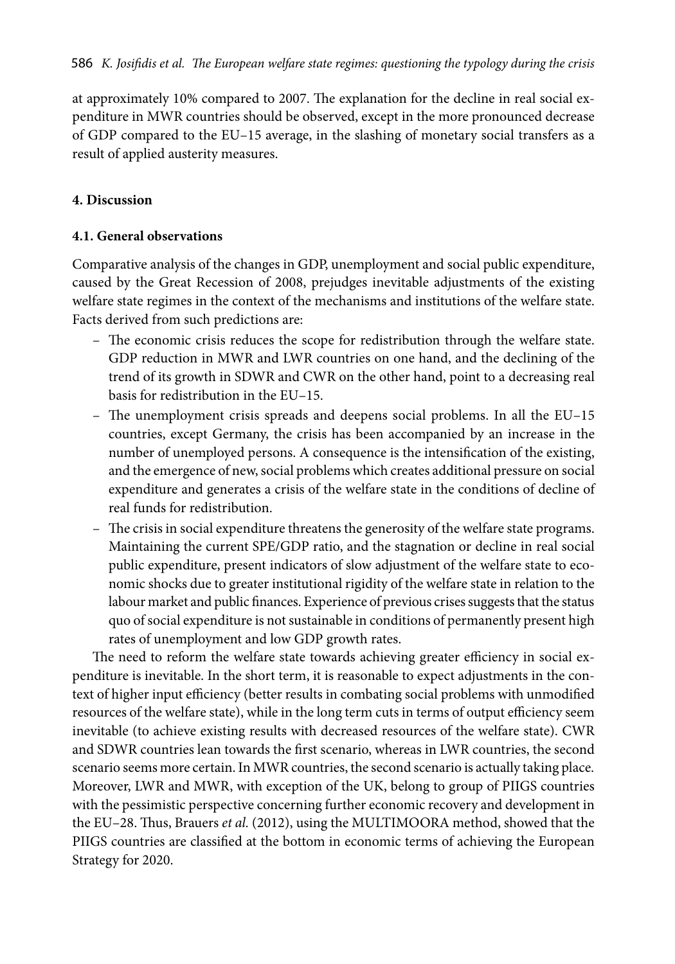at approximately 10% compared to 2007. The explanation for the decline in real social expenditure in MWR countries should be observed, except in the more pronounced decrease of GDP compared to the EU–15 average, in the slashing of monetary social transfers as a result of applied austerity measures.

### **4. Discussion**

### **4.1. General observations**

Comparative analysis of the changes in GDP, unemployment and social public expenditure, caused by the Great Recession of 2008, prejudges inevitable adjustments of the existing welfare state regimes in the context of the mechanisms and institutions of the welfare state. Facts derived from such predictions are:

- The economic crisis reduces the scope for redistribution through the welfare state. GDP reduction in MWR and LWR countries on one hand, and the declining of the trend of its growth in SDWR and CWR on the other hand, point to a decreasing real basis for redistribution in the EU–15.
- The unemployment crisis spreads and deepens social problems. In all the EU–15 countries, except Germany, the crisis has been accompanied by an increase in the number of unemployed persons. A consequence is the intensification of the existing, and the emergence of new, social problems which creates additional pressure on social expenditure and generates a crisis of the welfare state in the conditions of decline of real funds for redistribution.
- The crisis in social expenditure threatens the generosity of the welfare state programs. Maintaining the current SPE/GDP ratio, and the stagnation or decline in real social public expenditure, present indicators of slow adjustment of the welfare state to economic shocks due to greater institutional rigidity of the welfare state in relation to the labour market and public finances. Experience of previous crises suggests that the status quo of social expenditure is not sustainable in conditions of permanently present high rates of unemployment and low GDP growth rates.

The need to reform the welfare state towards achieving greater efficiency in social expenditure is inevitable. In the short term, it is reasonable to expect adjustments in the context of higher input efficiency (better results in combating social problems with unmodified resources of the welfare state), while in the long term cuts in terms of output efficiency seem inevitable (to achieve existing results with decreased resources of the welfare state). CWR and SDWR countries lean towards the first scenario, whereas in LWR countries, the second scenario seems more certain. In MWR countries, the second scenario is actually taking place. Moreover, LWR and MWR, with exception of the UK, belong to group of PIIGS countries with the pessimistic perspective concerning further economic recovery and development in the EU–28. Thus, Brauers *et al.* (2012), using the MULTIMOORA method, showed that the PIIGS countries are classified at the bottom in economic terms of achieving the European Strategy for 2020.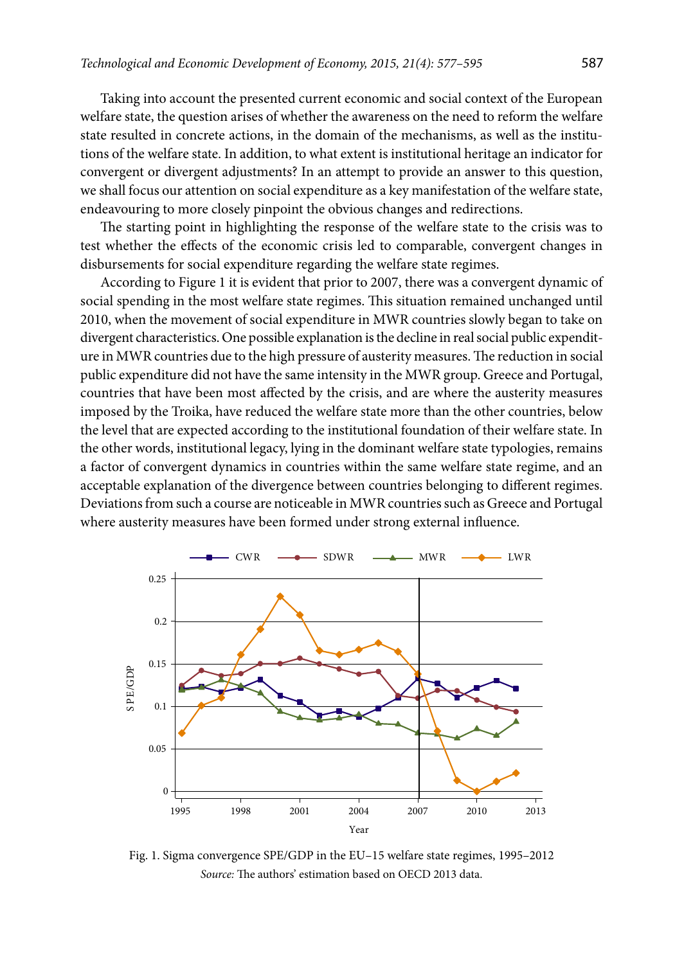Taking into account the presented current economic and social context of the European welfare state, the question arises of whether the awareness on the need to reform the welfare state resulted in concrete actions, in the domain of the mechanisms, as well as the institutions of the welfare state. In addition, to what extent is institutional heritage an indicator for convergent or divergent adjustments? In an attempt to provide an answer to this question, we shall focus our attention on social expenditure as a key manifestation of the welfare state, endeavouring to more closely pinpoint the obvious changes and redirections.

The starting point in highlighting the response of the welfare state to the crisis was to test whether the effects of the economic crisis led to comparable, convergent changes in disbursements for social expenditure regarding the welfare state regimes.

According to Figure 1 it is evident that prior to 2007, there was a convergent dynamic of social spending in the most welfare state regimes. This situation remained unchanged until 2010, when the movement of social expenditure in MWR countries slowly began to take on divergent characteristics. One possible explanation is the decline in real social public expenditure in MWR countries due to the high pressure of austerity measures. The reduction in social public expenditure did not have the same intensity in the MWR group. Greece and Portugal, countries that have been most affected by the crisis, and are where the austerity measures imposed by the Troika, have reduced the welfare state more than the other countries, below the level that are expected according to the institutional foundation of their welfare state. In the other words, institutional legacy, lying in the dominant welfare state typologies, remains a factor of convergent dynamics in countries within the same welfare state regime, and an acceptable explanation of the divergence between countries belonging to different regimes. Deviations from such a course are noticeable in MWR countries such as Greece and Portugal where austerity measures have been formed under strong external influence.



Fig. 1. Sigma convergence SPE/GDP in the EU–15 welfare state regimes, 1995–2012 *Source:* The authors' estimation based on OECD 2013 data.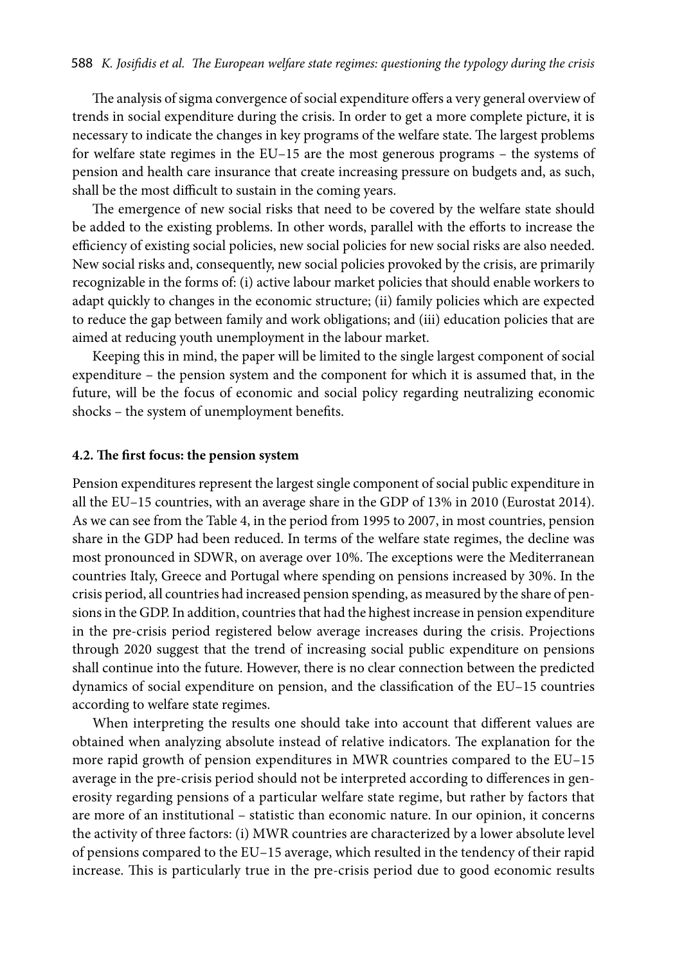The analysis of sigma convergence of social expenditure offers a very general overview of trends in social expenditure during the crisis. In order to get a more complete picture, it is necessary to indicate the changes in key programs of the welfare state. The largest problems for welfare state regimes in the EU–15 are the most generous programs – the systems of pension and health care insurance that create increasing pressure on budgets and, as such, shall be the most difficult to sustain in the coming years.

The emergence of new social risks that need to be covered by the welfare state should be added to the existing problems. In other words, parallel with the efforts to increase the efficiency of existing social policies, new social policies for new social risks are also needed. New social risks and, consequently, new social policies provoked by the crisis, are primarily recognizable in the forms of: (i) active labour market policies that should enable workers to adapt quickly to changes in the economic structure; (ii) family policies which are expected to reduce the gap between family and work obligations; and (iii) education policies that are aimed at reducing youth unemployment in the labour market.

Keeping this in mind, the paper will be limited to the single largest component of social expenditure – the pension system and the component for which it is assumed that, in the future, will be the focus of economic and social policy regarding neutralizing economic shocks – the system of unemployment benefits.

### **4.2. The first focus: the pension system**

Pension expenditures represent the largest single component of social public expenditure in all the EU–15 countries, with an average share in the GDP of 13% in 2010 (Eurostat 2014). As we can see from the Table 4, in the period from 1995 to 2007, in most countries, pension share in the GDP had been reduced. In terms of the welfare state regimes, the decline was most pronounced in SDWR, on average over 10%. The exceptions were the Mediterranean countries Italy, Greece and Portugal where spending on pensions increased by 30%. In the crisis period, all countries had increased pension spending, as measured by the share of pensions in the GDP. In addition, countries that had the highest increase in pension expenditure in the pre-crisis period registered below average increases during the crisis. Projections through 2020 suggest that the trend of increasing social public expenditure on pensions shall continue into the future. However, there is no clear connection between the predicted dynamics of social expenditure on pension, and the classification of the EU–15 countries according to welfare state regimes.

When interpreting the results one should take into account that different values are obtained when analyzing absolute instead of relative indicators. The explanation for the more rapid growth of pension expenditures in MWR countries compared to the EU–15 average in the pre-crisis period should not be interpreted according to differences in generosity regarding pensions of a particular welfare state regime, but rather by factors that are more of an institutional – statistic than economic nature. In our opinion, it concerns the activity of three factors: (i) MWR countries are characterized by a lower absolute level of pensions compared to the EU–15 average, which resulted in the tendency of their rapid increase. This is particularly true in the pre-crisis period due to good economic results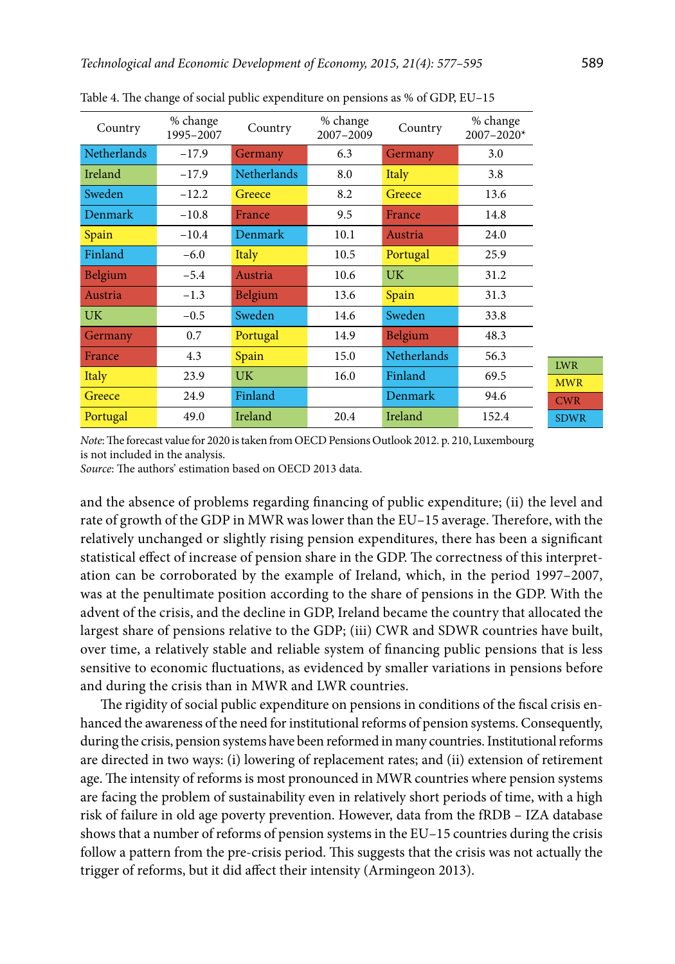| Country            | % change<br>1995-2007 | Country            | % change<br>2007-2009 | Country            | % change<br>2007-2020* |
|--------------------|-----------------------|--------------------|-----------------------|--------------------|------------------------|
| <b>Netherlands</b> | $-17.9$               | Germany            | 6.3                   | Germany            | 3.0                    |
| Ireland            | $-17.9$               | <b>Netherlands</b> | 8.0                   | <b>Italy</b>       | 3.8                    |
| Sweden             | $-12.2$               | Greece             | 8.2                   | Greece             | 13.6                   |
| <b>Denmark</b>     | $-10.8$               | France             | 9.5                   | France             | 14.8                   |
| Spain              | $-10.4$               | <b>Denmark</b>     | 10.1                  | Austria            | 24.0                   |
| Finland            | $-6.0$                | Italy              | 10.5                  | Portugal           | 25.9                   |
| Belgium            | $-5.4$                | Austria            | 10.6                  | UK.                | 31.2                   |
| Austria            | $-1.3$                | <b>Belgium</b>     | 13.6                  | Spain              | 31.3                   |
| UK.                | $-0.5$                | Sweden             | 14.6                  | Sweden             | 33.8                   |
| Germany            | 0.7                   | Portugal           | 14.9                  | Belgium            | 48.3                   |
| France             | 4.3                   | Spain              | 15.0                  | <b>Netherlands</b> | 56.3                   |
| Italy              | 23.9                  | UK.                | 16.0                  | Finland            | 69.5                   |
| Greece             | 24.9                  | Finland            |                       | Denmark            | 94.6                   |
| Portugal           | 49.0                  | Ireland            | 20.4                  | Ireland            | 152.4                  |

Table 4. The change of social public expenditure on pensions as % of GDP, EU–15

MWR CWR SDWR

LWR

*Note*: The forecast value for 2020 is taken from OECD Pensions Outlook 2012. p. 210, Luxembourg is not included in the analysis.

*Source*: The authors' estimation based on OECD 2013 data.

and the absence of problems regarding financing of public expenditure; (ii) the level and rate of growth of the GDP in MWR was lower than the EU–15 average. Therefore, with the relatively unchanged or slightly rising pension expenditures, there has been a significant statistical effect of increase of pension share in the GDP. The correctness of this interpretation can be corroborated by the example of Ireland, which, in the period 1997–2007, was at the penultimate position according to the share of pensions in the GDP. With the advent of the crisis, and the decline in GDP, Ireland became the country that allocated the largest share of pensions relative to the GDP; (iii) CWR and SDWR countries have built, over time, a relatively stable and reliable system of financing public pensions that is less sensitive to economic fluctuations, as evidenced by smaller variations in pensions before and during the crisis than in MWR and LWR countries.

The rigidity of social public expenditure on pensions in conditions of the fiscal crisis enhanced the awareness of the need for institutional reforms of pension systems. Consequently, during the crisis, pension systems have been reformed in many countries. Institutional reforms are directed in two ways: (i) lowering of replacement rates; and (ii) extension of retirement age. The intensity of reforms is most pronounced in MWR countries where pension systems are facing the problem of sustainability even in relatively short periods of time, with a high risk of failure in old age poverty prevention. However, data from the fRDB – IZA database shows that a number of reforms of pension systems in the EU–15 countries during the crisis follow a pattern from the pre-crisis period. This suggests that the crisis was not actually the trigger of reforms, but it did affect their intensity (Armingeon 2013).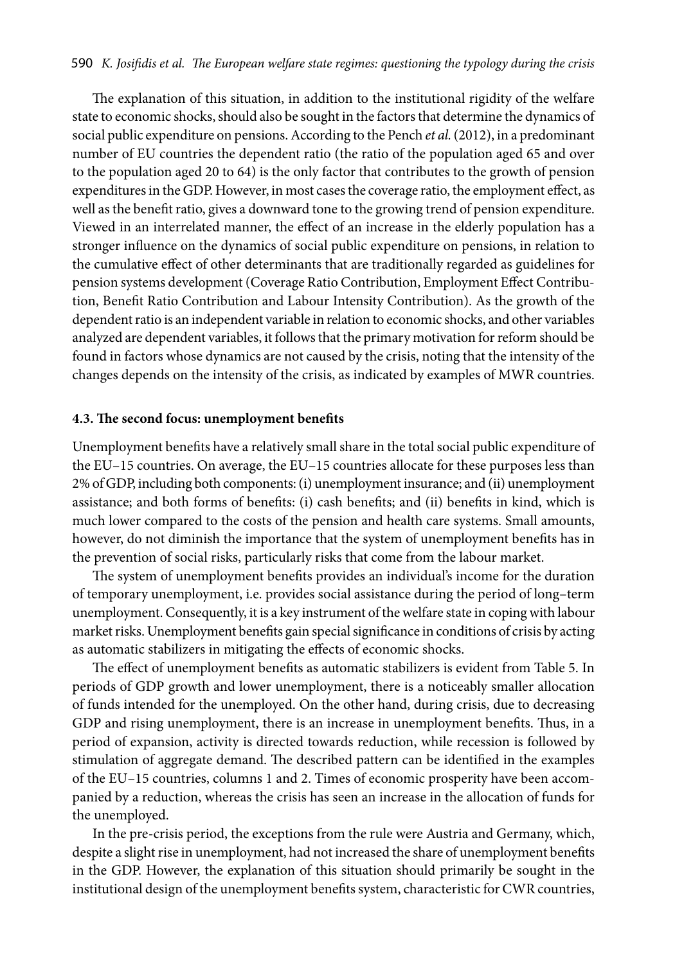The explanation of this situation, in addition to the institutional rigidity of the welfare state to economic shocks, should also be sought in the factors that determine the dynamics of social public expenditure on pensions. According to the Pench *et al.* (2012), in a predominant number of EU countries the dependent ratio (the ratio of the population aged 65 and over to the population aged 20 to 64) is the only factor that contributes to the growth of pension expenditures in the GDP. However, in most cases the coverage ratio, the employment effect, as well as the benefit ratio, gives a downward tone to the growing trend of pension expenditure. Viewed in an interrelated manner, the effect of an increase in the elderly population has a stronger influence on the dynamics of social public expenditure on pensions, in relation to the cumulative effect of other determinants that are traditionally regarded as guidelines for pension systems development (Coverage Ratio Contribution, Employment Effect Contribution, Benefit Ratio Contribution and Labour Intensity Contribution). As the growth of the dependent ratio is an independent variable in relation to economic shocks, and other variables analyzed are dependent variables, it follows that the primary motivation for reform should be found in factors whose dynamics are not caused by the crisis, noting that the intensity of the changes depends on the intensity of the crisis, as indicated by examples of MWR countries.

### **4.3. The second focus: unemployment benefits**

Unemployment benefits have a relatively small share in the total social public expenditure of the EU–15 countries. On average, the EU–15 countries allocate for these purposes less than 2% of GDP, including both components: (i) unemployment insurance; and (ii) unemployment assistance; and both forms of benefits: (i) cash benefits; and (ii) benefits in kind, which is much lower compared to the costs of the pension and health care systems. Small amounts, however, do not diminish the importance that the system of unemployment benefits has in the prevention of social risks, particularly risks that come from the labour market.

The system of unemployment benefits provides an individual's income for the duration of temporary unemployment, i.e. provides social assistance during the period of long–term unemployment. Consequently, it is a key instrument of the welfare state in coping with labour market risks. Unemployment benefits gain special significance in conditions of crisis by acting as automatic stabilizers in mitigating the effects of economic shocks.

The effect of unemployment benefits as automatic stabilizers is evident from Table 5. In periods of GDP growth and lower unemployment, there is a noticeably smaller allocation of funds intended for the unemployed. On the other hand, during crisis, due to decreasing GDP and rising unemployment, there is an increase in unemployment benefits. Thus, in a period of expansion, activity is directed towards reduction, while recession is followed by stimulation of aggregate demand. The described pattern can be identified in the examples of the EU–15 countries, columns 1 and 2. Times of economic prosperity have been accompanied by a reduction, whereas the crisis has seen an increase in the allocation of funds for the unemployed.

In the pre-crisis period, the exceptions from the rule were Austria and Germany, which, despite a slight rise in unemployment, had not increased the share of unemployment benefits in the GDP. However, the explanation of this situation should primarily be sought in the institutional design of the unemployment benefits system, characteristic for CWR countries,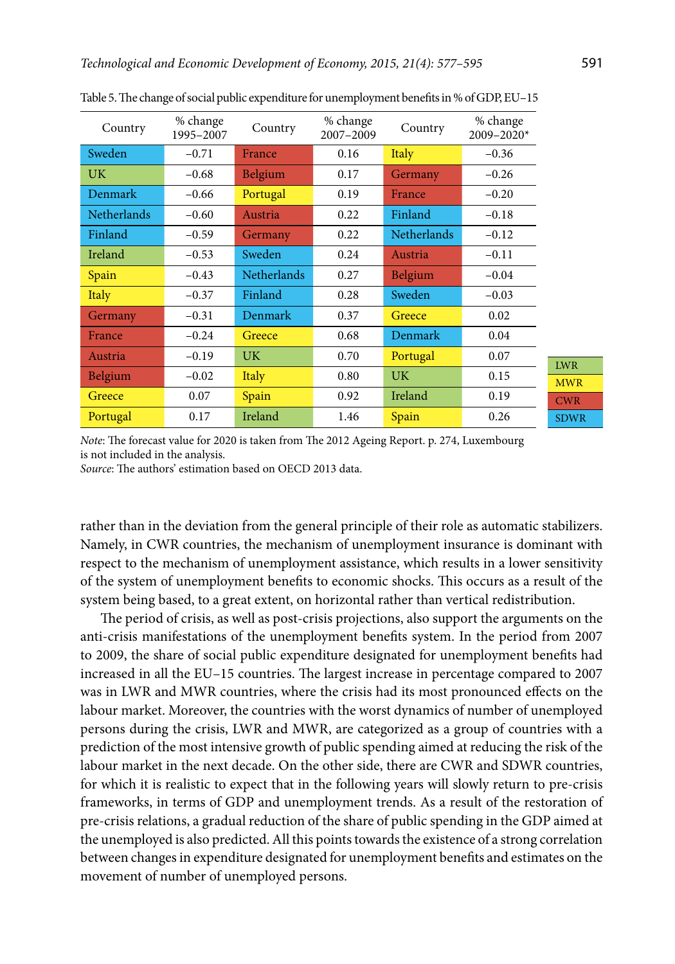| Country            | % change<br>1995-2007 | Country            | % change<br>2007-2009 | Country            | % change<br>$2009 - 2020*$ |
|--------------------|-----------------------|--------------------|-----------------------|--------------------|----------------------------|
| Sweden             | $-0.71$               | France             | 0.16                  | Italy              | $-0.36$                    |
| UK.                | $-0.68$               | <b>Belgium</b>     | 0.17                  | Germany            | $-0.26$                    |
| Denmark            | $-0.66$               | Portugal           | 0.19                  | France             | $-0.20$                    |
| <b>Netherlands</b> | $-0.60$               | Austria            | 0.22                  | Finland            | $-0.18$                    |
| Finland            | $-0.59$               | Germany            | 0.22                  | <b>Netherlands</b> | $-0.12$                    |
| Ireland            | $-0.53$               | Sweden             | 0.24                  | Austria            | $-0.11$                    |
| Spain              | $-0.43$               | <b>Netherlands</b> | 0.27                  | <b>Belgium</b>     | $-0.04$                    |
| Italy              | $-0.37$               | Finland            | 0.28                  | Sweden             | $-0.03$                    |
| Germany            | $-0.31$               | <b>Denmark</b>     | 0.37                  | Greece             | 0.02                       |
| France             | $-0.24$               | Greece             | 0.68                  | Denmark            | 0.04                       |
| Austria            | $-0.19$               | UK.                | 0.70                  | Portugal           | 0.07                       |
| <b>Belgium</b>     | $-0.02$               | Italy              | 0.80                  | UK.                | 0.15                       |
| Greece             | 0.07                  | Spain              | 0.92                  | Ireland            | 0.19                       |
| Portugal           | 0.17                  | Ireland            | 1.46                  | Spain              | 0.26                       |

Table 5. The change of social public expenditure for unemployment benefits in % of GDP, EU–15

MWR CWR SDWR

LWR

*Note*: The forecast value for 2020 is taken from The 2012 Ageing Report. p. 274, Luxembourg is not included in the analysis.

*Source*: The authors' estimation based on OECD 2013 data.

rather than in the deviation from the general principle of their role as automatic stabilizers. Namely, in CWR countries, the mechanism of unemployment insurance is dominant with respect to the mechanism of unemployment assistance, which results in a lower sensitivity of the system of unemployment benefits to economic shocks. This occurs as a result of the system being based, to a great extent, on horizontal rather than vertical redistribution.

The period of crisis, as well as post-crisis projections, also support the arguments on the anti-crisis manifestations of the unemployment benefits system. In the period from 2007 to 2009, the share of social public expenditure designated for unemployment benefits had increased in all the EU–15 countries. The largest increase in percentage compared to 2007 was in LWR and MWR countries, where the crisis had its most pronounced effects on the labour market. Moreover, the countries with the worst dynamics of number of unemployed persons during the crisis, LWR and MWR, are categorized as a group of countries with a prediction of the most intensive growth of public spending aimed at reducing the risk of the labour market in the next decade. On the other side, there are CWR and SDWR countries, for which it is realistic to expect that in the following years will slowly return to pre-crisis frameworks, in terms of GDP and unemployment trends. As a result of the restoration of pre-crisis relations, a gradual reduction of the share of public spending in the GDP aimed at the unemployed is also predicted. All this points towards the existence of a strong correlation between changes in expenditure designated for unemployment benefits and estimates on the movement of number of unemployed persons.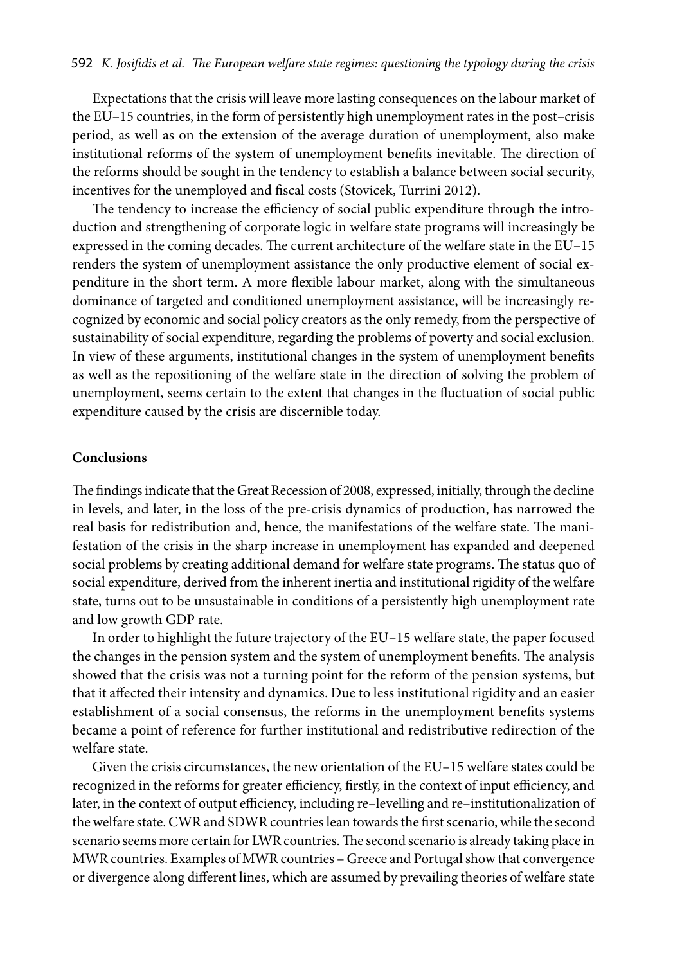Expectations that the crisis will leave more lasting consequences on the labour market of the EU–15 countries, in the form of persistently high unemployment rates in the post–crisis period, as well as on the extension of the average duration of unemployment, also make institutional reforms of the system of unemployment benefits inevitable. The direction of the reforms should be sought in the tendency to establish a balance between social security, incentives for the unemployed and fiscal costs (Stovicek, Turrini 2012).

The tendency to increase the efficiency of social public expenditure through the introduction and strengthening of corporate logic in welfare state programs will increasingly be expressed in the coming decades. The current architecture of the welfare state in the EU–15 renders the system of unemployment assistance the only productive element of social expenditure in the short term. A more flexible labour market, along with the simultaneous dominance of targeted and conditioned unemployment assistance, will be increasingly recognized by economic and social policy creators as the only remedy, from the perspective of sustainability of social expenditure, regarding the problems of poverty and social exclusion. In view of these arguments, institutional changes in the system of unemployment benefits as well as the repositioning of the welfare state in the direction of solving the problem of unemployment, seems certain to the extent that changes in the fluctuation of social public expenditure caused by the crisis are discernible today.

### **Conclusions**

The findings indicate that the Great Recession of 2008, expressed, initially, through the decline in levels, and later, in the loss of the pre-crisis dynamics of production, has narrowed the real basis for redistribution and, hence, the manifestations of the welfare state. The manifestation of the crisis in the sharp increase in unemployment has expanded and deepened social problems by creating additional demand for welfare state programs. The status quo of social expenditure, derived from the inherent inertia and institutional rigidity of the welfare state, turns out to be unsustainable in conditions of a persistently high unemployment rate and low growth GDP rate.

In order to highlight the future trajectory of the EU–15 welfare state, the paper focused the changes in the pension system and the system of unemployment benefits. The analysis showed that the crisis was not a turning point for the reform of the pension systems, but that it affected their intensity and dynamics. Due to less institutional rigidity and an easier establishment of a social consensus, the reforms in the unemployment benefits systems became a point of reference for further institutional and redistributive redirection of the welfare state.

Given the crisis circumstances, the new orientation of the EU–15 welfare states could be recognized in the reforms for greater efficiency, firstly, in the context of input efficiency, and later, in the context of output efficiency, including re–levelling and re–institutionalization of the welfare state. CWR and SDWR countries lean towards the first scenario, while the second scenario seems more certain for LWR countries. The second scenario is already taking place in MWR countries. Examples of MWR countries – Greece and Portugal show that convergence or divergence along different lines, which are assumed by prevailing theories of welfare state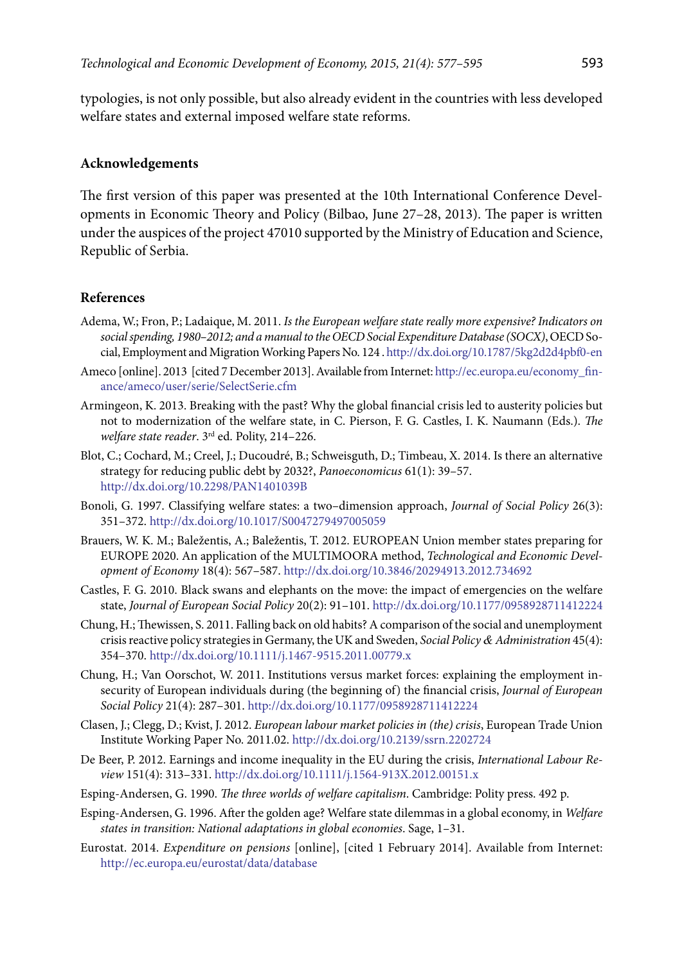typologies, is not only possible, but also already evident in the countries with less developed welfare states and external imposed welfare state reforms.

### **Acknowledgements**

The first version of this paper was presented at the 10th International Conference Developments in Economic Theory and Policy (Bilbao, June 27–28, 2013). The paper is written under the auspices of the project 47010 supported by the Ministry of Education and Science, Republic of Serbia.

### **References**

- Adema, W.; Fron, P.; Ladaique, M. 2011. *Is the European welfare state really more expensive? Indicators on social spending, 1980–2012; and a manual to the OECD Social Expenditure Database (SOCX)*, OECD Social, Employment and Migration Working Papers No. 124 .<http://dx.doi.org/10.1787/5kg2d2d4pbf0-en>
- Ameco [online]. 2013 [cited 7 December 2013]. Available from Internet: [http://ec.europa.eu/economy\\_fin](http://ec.europa.eu/economy_finance/ameco/user/serie/SelectSerie.cfm)[ance/ameco/user/serie/SelectSerie.cfm](http://ec.europa.eu/economy_finance/ameco/user/serie/SelectSerie.cfm)
- Armingeon, K. 2013. Breaking with the past? Why the global financial crisis led to austerity policies but not to modernization of the welfare state, in C. Pierson, F. G. Castles, I. K. Naumann (Eds.). *The welfare state reader*. 3rd ed. Polity, 214–226.
- Blot, C.; Cochard, M.; Creel, J.; Ducoudré, B.; Schweisguth, D.; Timbeau, X. 2014. Is there an alternative strategy for reducing public debt by 2032?, *Panoeconomicus* 61(1): 39–57. <http://dx.doi.org/10.2298/PAN1401039B>
- Bonoli, G. 1997. Classifying welfare states: a two–dimension approach, *Journal of Social Policy* 26(3): 351–372. <http://dx.doi.org/10.1017/S0047279497005059>
- Brauers, W. K. M.; Baležentis, A.; Baležentis, T. 2012. EUROPEAN Union member states preparing for EUROPE 2020. An application of the MULTIMOORA method, *Technological and Economic Development of Economy* 18(4): 567–587.<http://dx.doi.org/10.3846/20294913.2012.734692>
- Castles, F. G. 2010. Black swans and elephants on the move: the impact of emergencies on the welfare state, *Journal of European Social Policy* 20(2): 91–101. <http://dx.doi.org/10.1177/0958928711412224>
- Chung, H.; Thewissen, S. 2011. Falling back on old habits? A comparison of the social and unemployment crisis reactive policy strategies in Germany, the UK and Sweden, *Social Policy & Administration* 45(4): 354–370. <http://dx.doi.org/10.1111/j.1467-9515.2011.00779.x>
- Chung, H.; Van Oorschot, W. 2011. Institutions versus market forces: explaining the employment insecurity of European individuals during (the beginning of) the financial crisis, *Journal of European Social Policy* 21(4): 287–301. <http://dx.doi.org/10.1177/0958928711412224>
- Clasen, J.; Clegg, D.; Kvist, J. 2012. *European labour market policies in (the) crisis*, European Trade Union Institute Working Paper No. 2011.02.<http://dx.doi.org/10.2139/ssrn.2202724>
- De Beer, P. 2012. Earnings and income inequality in the EU during the crisis, *International Labour Review* 151(4): 313–331.<http://dx.doi.org/10.1111/j.1564-913X.2012.00151.x>
- Esping-Andersen, G. 1990. *The three worlds of welfare capitalism*. Cambridge: Polity press. 492 p.
- Esping-Andersen, G. 1996. After the golden age? Welfare state dilemmas in a global economy, in *Welfare states in transition: National adaptations in global economies*. Sage, 1–31.
- Eurostat. 2014. *Expenditure on pensions* [online], [cited 1 February 2014]. Available from Internet: <http://ec.europa.eu/eurostat/data/database>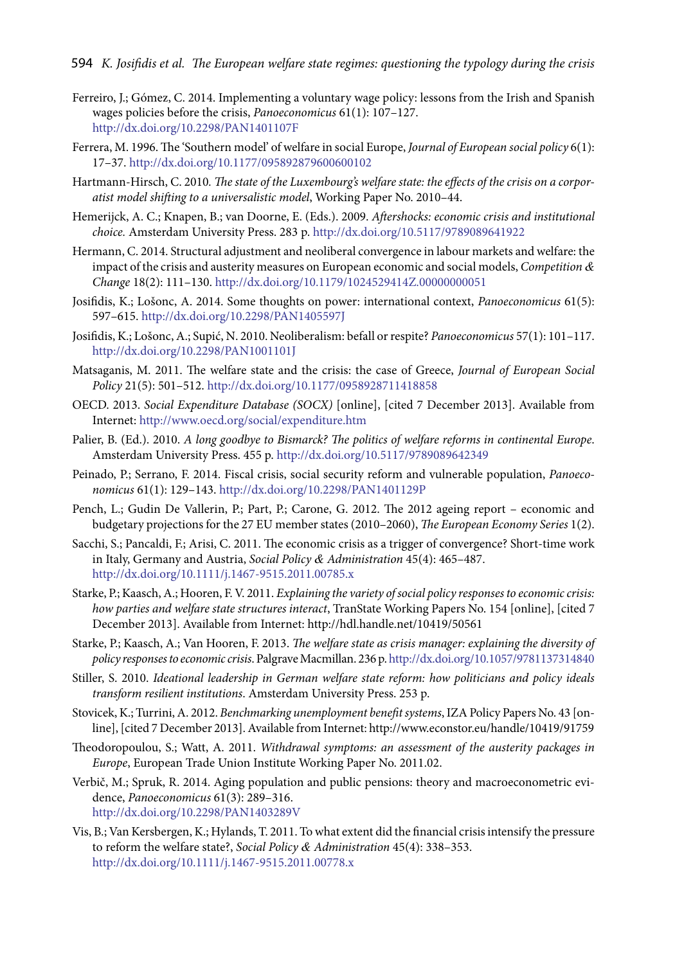- Ferreiro, J.; Gómez, C. 2014. Implementing a voluntary wage policy: lessons from the Irish and Spanish wages policies before the crisis, *Panoeconomicus* 61(1): 107–127. <http://dx.doi.org/10.2298/PAN1401107F>
- Ferrera, M. 1996. The 'Southern model' of welfare in social Europe, *Journal of European social policy* 6(1): 17–37.<http://dx.doi.org/10.1177/095892879600600102>
- Hartmann-Hirsch, C. 2010*. The state of the Luxembourg's welfare state: the effects of the crisis on a corporatist model shifting to a universalistic model*, Working Paper No. 2010–44.
- Hemerijck, A. C.; Knapen, B.; van Doorne, E. (Eds.). 2009. *Aftershocks: economic crisis and institutional choice.* Amsterdam University Press. 283 p. <http://dx.doi.org/10.5117/9789089641922>
- Hermann, C. 2014. Structural adjustment and neoliberal convergence in labour markets and welfare: the impact of the crisis and austerity measures on European economic and social models, *Competition & Change* 18(2): 111–130. <http://dx.doi.org/10.1179/1024529414Z.00000000051>
- Josifidis, K.; Lošonc, A. 2014. Some thoughts on power: international context, *Panoeconomicus* 61(5): 597–615. <http://dx.doi.org/10.2298/PAN1405597J>
- Josifidis, K.; Lošonc, A.; Supić, N. 2010. Neoliberalism: befall or respite? *Panoeconomicus* 57(1): 101–117. <http://dx.doi.org/10.2298/PAN1001101J>
- Matsaganis, M. 2011. The welfare state and the crisis: the case of Greece, *Journal of European Social Policy* 21(5): 501–512.<http://dx.doi.org/10.1177/0958928711418858>
- OECD. 2013. *Social Expenditure Database (SOCX)* [online], [cited 7 December 2013]. Available from Internet:<http://www.oecd.org/social/expenditure.htm>
- Palier, B. (Ed.). 2010. *A long goodbye to Bismarck? The politics of welfare reforms in continental Europe*. Amsterdam University Press. 455 p.<http://dx.doi.org/10.5117/9789089642349>
- Peinado, P.; Serrano, F. 2014. Fiscal crisis, social security reform and vulnerable population, *Panoeconomicus* 61(1): 129–143. <http://dx.doi.org/10.2298/PAN1401129P>
- Pench, L.; Gudin De Vallerin, P.; Part, P.; Carone, G. 2012. The 2012 ageing report economic and budgetary projections for the 27 EU member states (2010–2060), *The European Economy Series* 1(2).
- Sacchi, S.; Pancaldi, F.; Arisi, C. 2011. The economic crisis as a trigger of convergence? Short-time work in Italy, Germany and Austria, *Social Policy & Administration* 45(4): 465–487. <http://dx.doi.org/10.1111/j.1467-9515.2011.00785.x>
- Starke, P.; Kaasch, A.; Hooren, F. V. 2011. *Explaining the variety of social policy responses to economic crisis: how parties and welfare state structures interact*, TranState Working Papers No. 154 [online], [cited 7 December 2013]. Available from Internet: <http://hdl.handle.net/10419/50561>
- Starke, P.; Kaasch, A.; Van Hooren, F. 2013. *The welfare state as crisis manager: explaining the diversity of policy responses to economic crisis*. Palgrave Macmillan. 236 p.<http://dx.doi.org/10.1057/9781137314840>
- Stiller, S. 2010. *Ideational leadership in German welfare state reform: how politicians and policy ideals transform resilient institutions*. Amsterdam University Press. 253 p.
- Stovicek, K.; Turrini, A. 2012. *Benchmarking unemployment benefit systems*, IZA Policy Papers No. 43 [online], [cited 7 December 2013]. Available from Internet: <http://www.econstor.eu/handle/10419/91759>
- Theodoropoulou, S.; Watt, A. 2011. *Withdrawal symptoms: an assessment of the austerity packages in Europe*, European Trade Union Institute Working Paper No. 2011.02.
- Verbič, M.; Spruk, R. 2014. Aging population and public pensions: theory and macroeconometric evidence, *Panoeconomicus* 61(3): 289–316. <http://dx.doi.org/>[10.2298/PAN1403289V](http://www.doiserbia.nb.rs/Article.aspx?ID=1452-595X1403289V)
- Vis, B.; Van Kersbergen, K.; Hylands, T. 2011. To what extent did the financial crisis intensify the pressure to reform the welfare state?, *Social Policy & Administration* 45(4): 338–353. <http://dx.doi.org/10.1111/j.1467-9515.2011.00778.x>